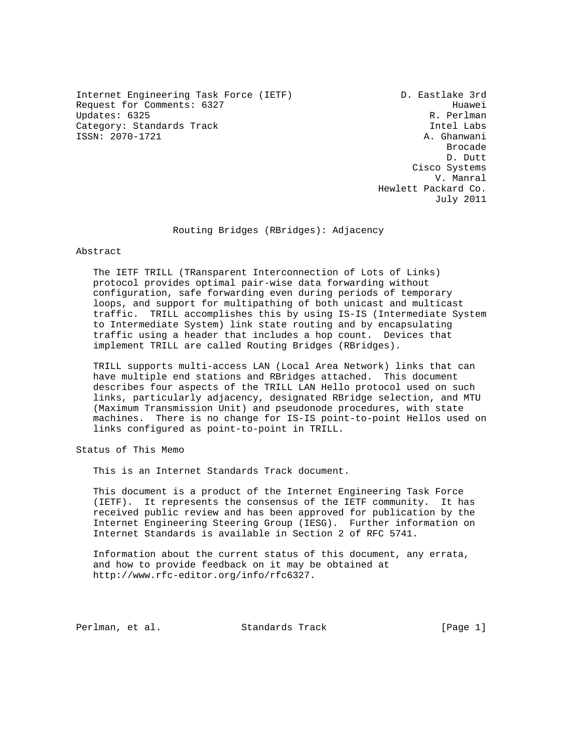Internet Engineering Task Force (IETF) D. Eastlake 3rd Request for Comments: 6327<br>Updates: 6325 R. Perlman Updates: 6325 Category: Standards Track Intel Labs ISSN: 2070-1721 A. Ghanwani

de de la construcción de la construcción de la construcción de la construcción de la construcción de la construcción de la construcción de la construcción de la construcción de la construcción de la construcción de la cons D. Dutt Cisco Systems V. Manral Hewlett Packard Co. July 2011

### Routing Bridges (RBridges): Adjacency

Abstract

 The IETF TRILL (TRansparent Interconnection of Lots of Links) protocol provides optimal pair-wise data forwarding without configuration, safe forwarding even during periods of temporary loops, and support for multipathing of both unicast and multicast traffic. TRILL accomplishes this by using IS-IS (Intermediate System to Intermediate System) link state routing and by encapsulating traffic using a header that includes a hop count. Devices that implement TRILL are called Routing Bridges (RBridges).

 TRILL supports multi-access LAN (Local Area Network) links that can have multiple end stations and RBridges attached. This document describes four aspects of the TRILL LAN Hello protocol used on such links, particularly adjacency, designated RBridge selection, and MTU (Maximum Transmission Unit) and pseudonode procedures, with state machines. There is no change for IS-IS point-to-point Hellos used on links configured as point-to-point in TRILL.

Status of This Memo

This is an Internet Standards Track document.

 This document is a product of the Internet Engineering Task Force (IETF). It represents the consensus of the IETF community. It has received public review and has been approved for publication by the Internet Engineering Steering Group (IESG). Further information on Internet Standards is available in Section 2 of RFC 5741.

 Information about the current status of this document, any errata, and how to provide feedback on it may be obtained at http://www.rfc-editor.org/info/rfc6327.

Perlman, et al. Standards Track [Page 1]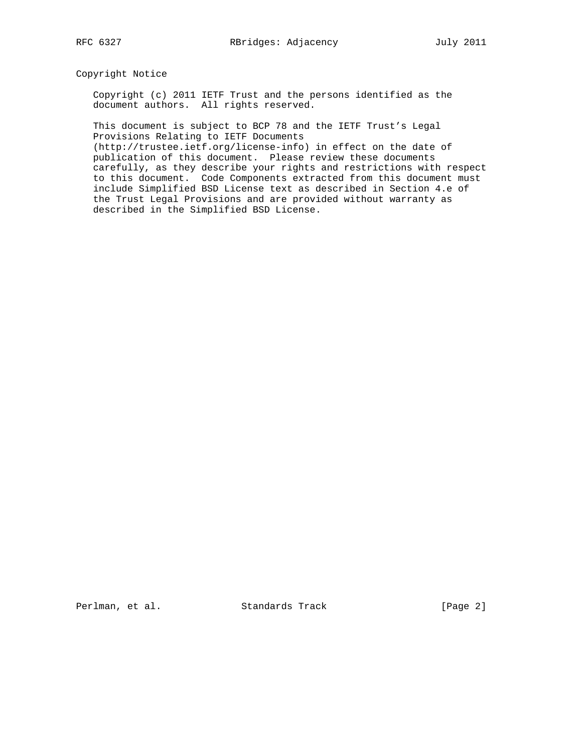Copyright Notice

 Copyright (c) 2011 IETF Trust and the persons identified as the document authors. All rights reserved.

 This document is subject to BCP 78 and the IETF Trust's Legal Provisions Relating to IETF Documents

 (http://trustee.ietf.org/license-info) in effect on the date of publication of this document. Please review these documents carefully, as they describe your rights and restrictions with respect to this document. Code Components extracted from this document must include Simplified BSD License text as described in Section 4.e of the Trust Legal Provisions and are provided without warranty as described in the Simplified BSD License.

Perlman, et al. Standards Track [Page 2]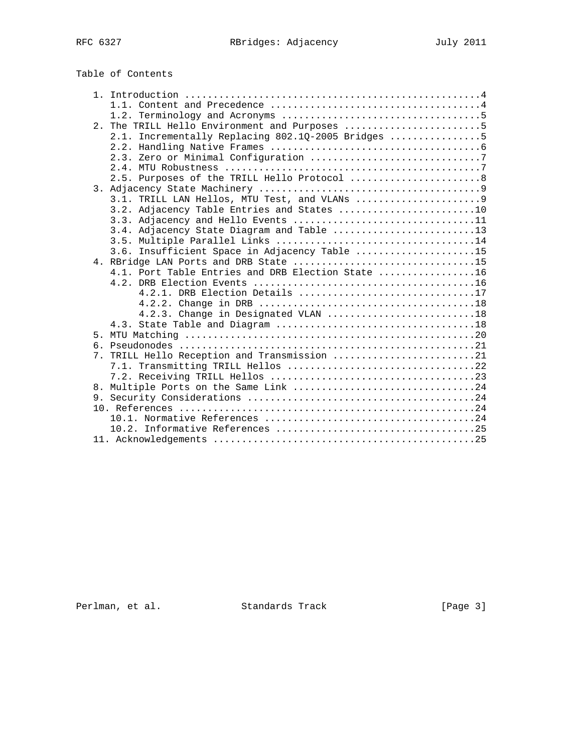|  | 2. The TRILL Hello Environment and Purposes 5      |
|--|----------------------------------------------------|
|  | 2.1. Incrementally Replacing 802.1Q-2005 Bridges 5 |
|  |                                                    |
|  |                                                    |
|  |                                                    |
|  | 2.5. Purposes of the TRILL Hello Protocol 8        |
|  |                                                    |
|  |                                                    |
|  | 3.2. Adjacency Table Entries and States 10         |
|  | 3.3. Adjacency and Hello Events 11                 |
|  | 3.4. Adjacency State Diagram and Table 13          |
|  |                                                    |
|  | 3.6. Insufficient Space in Adjacency Table 15      |
|  | 4. RBridge LAN Ports and DRB State 15              |
|  | 4.1. Port Table Entries and DRB Election State 16  |
|  |                                                    |
|  | 4.2.1. DRB Election Details 17                     |
|  |                                                    |
|  | 4.2.3. Change in Designated VLAN 18                |
|  |                                                    |
|  |                                                    |
|  |                                                    |
|  | 7. TRILL Hello Reception and Transmission 21       |
|  |                                                    |
|  |                                                    |
|  |                                                    |
|  |                                                    |
|  |                                                    |
|  |                                                    |
|  |                                                    |
|  |                                                    |

Perlman, et al. Standards Track [Page 3]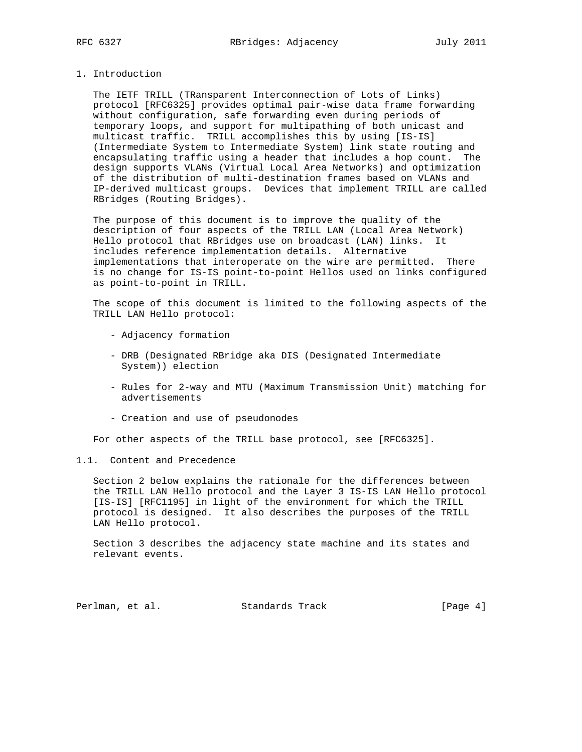### 1. Introduction

 The IETF TRILL (TRansparent Interconnection of Lots of Links) protocol [RFC6325] provides optimal pair-wise data frame forwarding without configuration, safe forwarding even during periods of temporary loops, and support for multipathing of both unicast and multicast traffic. TRILL accomplishes this by using [IS-IS] (Intermediate System to Intermediate System) link state routing and encapsulating traffic using a header that includes a hop count. The design supports VLANs (Virtual Local Area Networks) and optimization of the distribution of multi-destination frames based on VLANs and IP-derived multicast groups. Devices that implement TRILL are called RBridges (Routing Bridges).

 The purpose of this document is to improve the quality of the description of four aspects of the TRILL LAN (Local Area Network) Hello protocol that RBridges use on broadcast (LAN) links. It includes reference implementation details. Alternative implementations that interoperate on the wire are permitted. There is no change for IS-IS point-to-point Hellos used on links configured as point-to-point in TRILL.

 The scope of this document is limited to the following aspects of the TRILL LAN Hello protocol:

- Adjacency formation
- DRB (Designated RBridge aka DIS (Designated Intermediate System)) election
- Rules for 2-way and MTU (Maximum Transmission Unit) matching for advertisements
- Creation and use of pseudonodes

For other aspects of the TRILL base protocol, see [RFC6325].

## 1.1. Content and Precedence

 Section 2 below explains the rationale for the differences between the TRILL LAN Hello protocol and the Layer 3 IS-IS LAN Hello protocol [IS-IS] [RFC1195] in light of the environment for which the TRILL protocol is designed. It also describes the purposes of the TRILL LAN Hello protocol.

 Section 3 describes the adjacency state machine and its states and relevant events.

Perlman, et al. Standards Track [Page 4]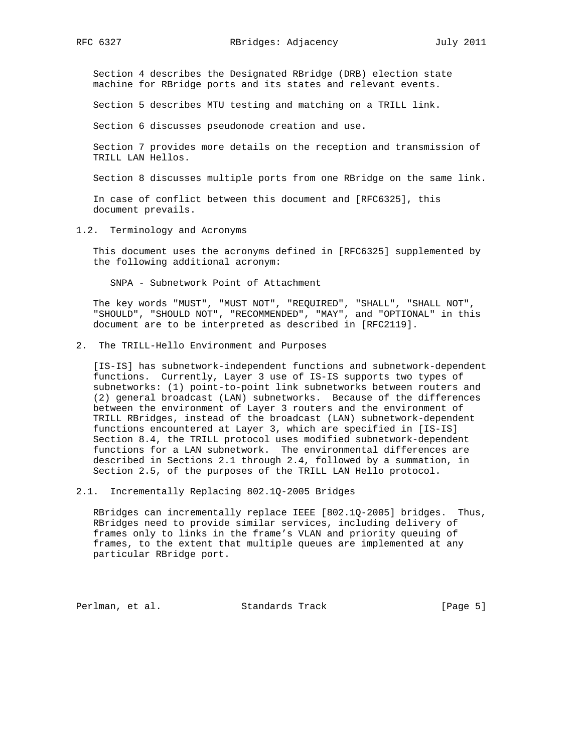Section 4 describes the Designated RBridge (DRB) election state machine for RBridge ports and its states and relevant events.

Section 5 describes MTU testing and matching on a TRILL link.

Section 6 discusses pseudonode creation and use.

 Section 7 provides more details on the reception and transmission of TRILL LAN Hellos.

Section 8 discusses multiple ports from one RBridge on the same link.

 In case of conflict between this document and [RFC6325], this document prevails.

1.2. Terminology and Acronyms

 This document uses the acronyms defined in [RFC6325] supplemented by the following additional acronym:

SNPA - Subnetwork Point of Attachment

 The key words "MUST", "MUST NOT", "REQUIRED", "SHALL", "SHALL NOT", "SHOULD", "SHOULD NOT", "RECOMMENDED", "MAY", and "OPTIONAL" in this document are to be interpreted as described in [RFC2119].

2. The TRILL-Hello Environment and Purposes

 [IS-IS] has subnetwork-independent functions and subnetwork-dependent functions. Currently, Layer 3 use of IS-IS supports two types of subnetworks: (1) point-to-point link subnetworks between routers and (2) general broadcast (LAN) subnetworks. Because of the differences between the environment of Layer 3 routers and the environment of TRILL RBridges, instead of the broadcast (LAN) subnetwork-dependent functions encountered at Layer 3, which are specified in [IS-IS] Section 8.4, the TRILL protocol uses modified subnetwork-dependent functions for a LAN subnetwork. The environmental differences are described in Sections 2.1 through 2.4, followed by a summation, in Section 2.5, of the purposes of the TRILL LAN Hello protocol.

2.1. Incrementally Replacing 802.1Q-2005 Bridges

 RBridges can incrementally replace IEEE [802.1Q-2005] bridges. Thus, RBridges need to provide similar services, including delivery of frames only to links in the frame's VLAN and priority queuing of frames, to the extent that multiple queues are implemented at any particular RBridge port.

Perlman, et al. Standards Track [Page 5]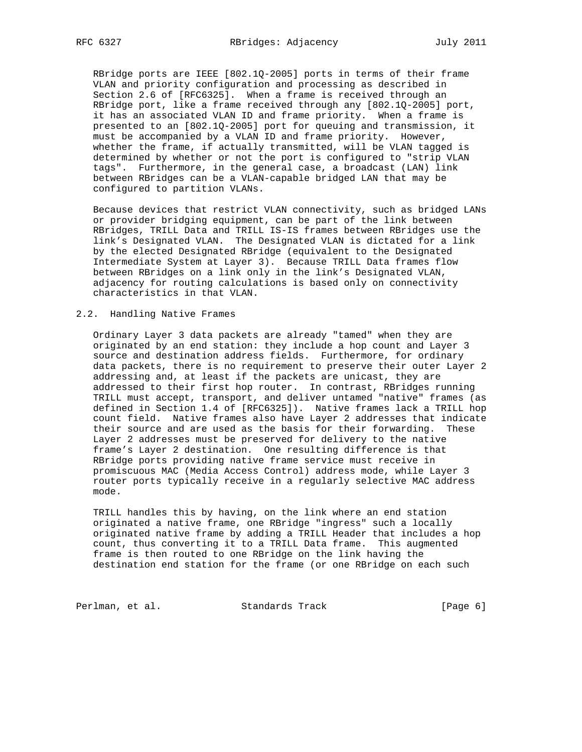RBridge ports are IEEE [802.1Q-2005] ports in terms of their frame VLAN and priority configuration and processing as described in Section 2.6 of [RFC6325]. When a frame is received through an RBridge port, like a frame received through any [802.1Q-2005] port, it has an associated VLAN ID and frame priority. When a frame is presented to an [802.1Q-2005] port for queuing and transmission, it must be accompanied by a VLAN ID and frame priority. However, whether the frame, if actually transmitted, will be VLAN tagged is determined by whether or not the port is configured to "strip VLAN tags". Furthermore, in the general case, a broadcast (LAN) link between RBridges can be a VLAN-capable bridged LAN that may be configured to partition VLANs.

 Because devices that restrict VLAN connectivity, such as bridged LANs or provider bridging equipment, can be part of the link between RBridges, TRILL Data and TRILL IS-IS frames between RBridges use the link's Designated VLAN. The Designated VLAN is dictated for a link by the elected Designated RBridge (equivalent to the Designated Intermediate System at Layer 3). Because TRILL Data frames flow between RBridges on a link only in the link's Designated VLAN, adjacency for routing calculations is based only on connectivity characteristics in that VLAN.

### 2.2. Handling Native Frames

 Ordinary Layer 3 data packets are already "tamed" when they are originated by an end station: they include a hop count and Layer 3 source and destination address fields. Furthermore, for ordinary data packets, there is no requirement to preserve their outer Layer 2 addressing and, at least if the packets are unicast, they are addressed to their first hop router. In contrast, RBridges running TRILL must accept, transport, and deliver untamed "native" frames (as defined in Section 1.4 of [RFC6325]). Native frames lack a TRILL hop count field. Native frames also have Layer 2 addresses that indicate their source and are used as the basis for their forwarding. These Layer 2 addresses must be preserved for delivery to the native frame's Layer 2 destination. One resulting difference is that RBridge ports providing native frame service must receive in promiscuous MAC (Media Access Control) address mode, while Layer 3 router ports typically receive in a regularly selective MAC address mode.

 TRILL handles this by having, on the link where an end station originated a native frame, one RBridge "ingress" such a locally originated native frame by adding a TRILL Header that includes a hop count, thus converting it to a TRILL Data frame. This augmented frame is then routed to one RBridge on the link having the destination end station for the frame (or one RBridge on each such

Perlman, et al. Standards Track [Page 6]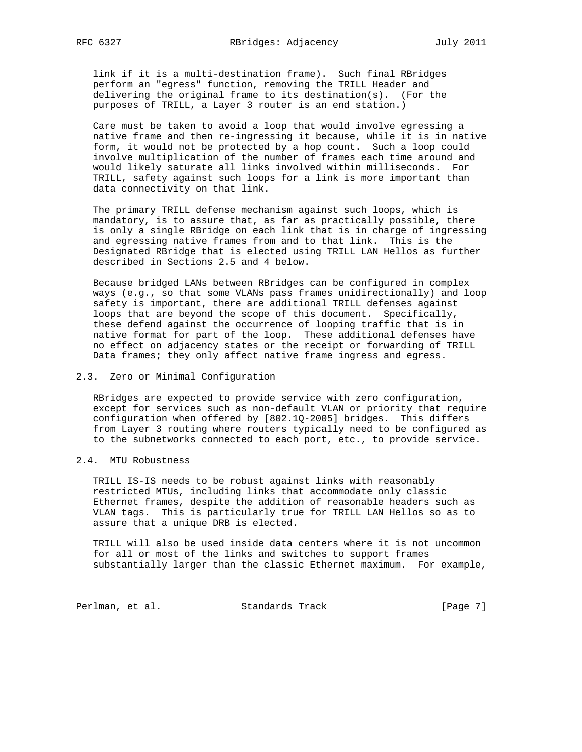link if it is a multi-destination frame). Such final RBridges perform an "egress" function, removing the TRILL Header and delivering the original frame to its destination(s). (For the purposes of TRILL, a Layer 3 router is an end station.)

 Care must be taken to avoid a loop that would involve egressing a native frame and then re-ingressing it because, while it is in native form, it would not be protected by a hop count. Such a loop could involve multiplication of the number of frames each time around and would likely saturate all links involved within milliseconds. For TRILL, safety against such loops for a link is more important than data connectivity on that link.

 The primary TRILL defense mechanism against such loops, which is mandatory, is to assure that, as far as practically possible, there is only a single RBridge on each link that is in charge of ingressing and egressing native frames from and to that link. This is the Designated RBridge that is elected using TRILL LAN Hellos as further described in Sections 2.5 and 4 below.

 Because bridged LANs between RBridges can be configured in complex ways (e.g., so that some VLANs pass frames unidirectionally) and loop safety is important, there are additional TRILL defenses against loops that are beyond the scope of this document. Specifically, these defend against the occurrence of looping traffic that is in native format for part of the loop. These additional defenses have no effect on adjacency states or the receipt or forwarding of TRILL Data frames; they only affect native frame ingress and egress.

### 2.3. Zero or Minimal Configuration

 RBridges are expected to provide service with zero configuration, except for services such as non-default VLAN or priority that require configuration when offered by [802.1Q-2005] bridges. This differs from Layer 3 routing where routers typically need to be configured as to the subnetworks connected to each port, etc., to provide service.

# 2.4. MTU Robustness

 TRILL IS-IS needs to be robust against links with reasonably restricted MTUs, including links that accommodate only classic Ethernet frames, despite the addition of reasonable headers such as VLAN tags. This is particularly true for TRILL LAN Hellos so as to assure that a unique DRB is elected.

 TRILL will also be used inside data centers where it is not uncommon for all or most of the links and switches to support frames substantially larger than the classic Ethernet maximum. For example,

Perlman, et al. Standards Track [Page 7]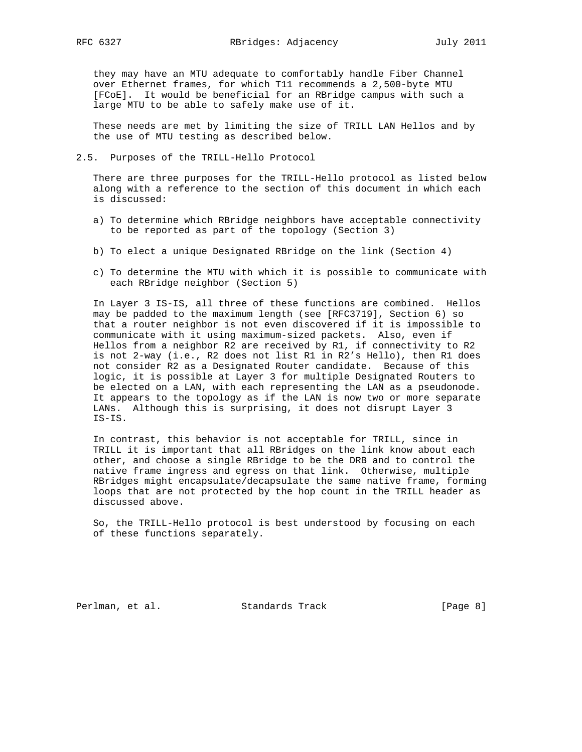they may have an MTU adequate to comfortably handle Fiber Channel over Ethernet frames, for which T11 recommends a 2,500-byte MTU [FCoE]. It would be beneficial for an RBridge campus with such a large MTU to be able to safely make use of it.

 These needs are met by limiting the size of TRILL LAN Hellos and by the use of MTU testing as described below.

### 2.5. Purposes of the TRILL-Hello Protocol

 There are three purposes for the TRILL-Hello protocol as listed below along with a reference to the section of this document in which each is discussed:

- a) To determine which RBridge neighbors have acceptable connectivity to be reported as part of the topology (Section 3)
- b) To elect a unique Designated RBridge on the link (Section 4)
- c) To determine the MTU with which it is possible to communicate with each RBridge neighbor (Section 5)

 In Layer 3 IS-IS, all three of these functions are combined. Hellos may be padded to the maximum length (see [RFC3719], Section 6) so that a router neighbor is not even discovered if it is impossible to communicate with it using maximum-sized packets. Also, even if Hellos from a neighbor R2 are received by R1, if connectivity to R2 is not 2-way (i.e., R2 does not list R1 in R2's Hello), then R1 does not consider R2 as a Designated Router candidate. Because of this logic, it is possible at Layer 3 for multiple Designated Routers to be elected on a LAN, with each representing the LAN as a pseudonode. It appears to the topology as if the LAN is now two or more separate LANs. Although this is surprising, it does not disrupt Layer 3 IS-IS.

 In contrast, this behavior is not acceptable for TRILL, since in TRILL it is important that all RBridges on the link know about each other, and choose a single RBridge to be the DRB and to control the native frame ingress and egress on that link. Otherwise, multiple RBridges might encapsulate/decapsulate the same native frame, forming loops that are not protected by the hop count in the TRILL header as discussed above.

 So, the TRILL-Hello protocol is best understood by focusing on each of these functions separately.

Perlman, et al. Standards Track [Page 8]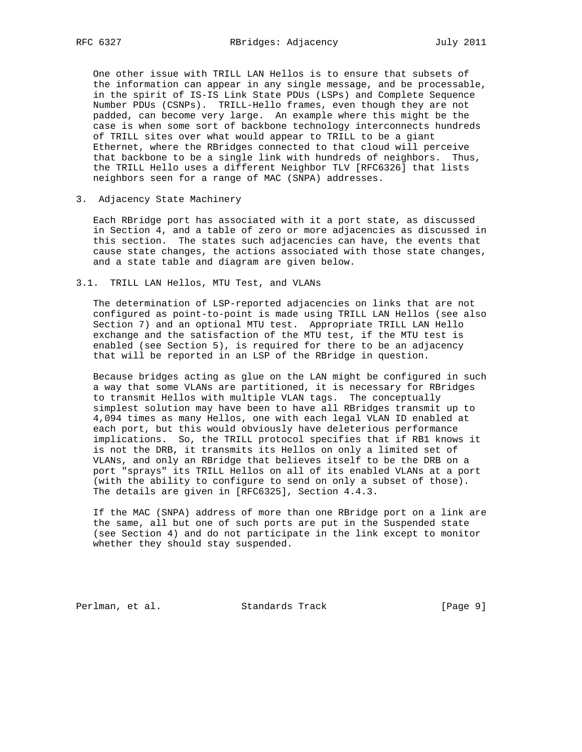One other issue with TRILL LAN Hellos is to ensure that subsets of the information can appear in any single message, and be processable, in the spirit of IS-IS Link State PDUs (LSPs) and Complete Sequence Number PDUs (CSNPs). TRILL-Hello frames, even though they are not padded, can become very large. An example where this might be the case is when some sort of backbone technology interconnects hundreds of TRILL sites over what would appear to TRILL to be a giant Ethernet, where the RBridges connected to that cloud will perceive that backbone to be a single link with hundreds of neighbors. Thus, the TRILL Hello uses a different Neighbor TLV [RFC6326] that lists neighbors seen for a range of MAC (SNPA) addresses.

## 3. Adjacency State Machinery

 Each RBridge port has associated with it a port state, as discussed in Section 4, and a table of zero or more adjacencies as discussed in this section. The states such adjacencies can have, the events that cause state changes, the actions associated with those state changes, and a state table and diagram are given below.

## 3.1. TRILL LAN Hellos, MTU Test, and VLANs

 The determination of LSP-reported adjacencies on links that are not configured as point-to-point is made using TRILL LAN Hellos (see also Section 7) and an optional MTU test. Appropriate TRILL LAN Hello exchange and the satisfaction of the MTU test, if the MTU test is enabled (see Section 5), is required for there to be an adjacency that will be reported in an LSP of the RBridge in question.

 Because bridges acting as glue on the LAN might be configured in such a way that some VLANs are partitioned, it is necessary for RBridges to transmit Hellos with multiple VLAN tags. The conceptually simplest solution may have been to have all RBridges transmit up to 4,094 times as many Hellos, one with each legal VLAN ID enabled at each port, but this would obviously have deleterious performance implications. So, the TRILL protocol specifies that if RB1 knows it is not the DRB, it transmits its Hellos on only a limited set of VLANs, and only an RBridge that believes itself to be the DRB on a port "sprays" its TRILL Hellos on all of its enabled VLANs at a port (with the ability to configure to send on only a subset of those). The details are given in [RFC6325], Section 4.4.3.

 If the MAC (SNPA) address of more than one RBridge port on a link are the same, all but one of such ports are put in the Suspended state (see Section 4) and do not participate in the link except to monitor whether they should stay suspended.

Perlman, et al. Standards Track [Page 9]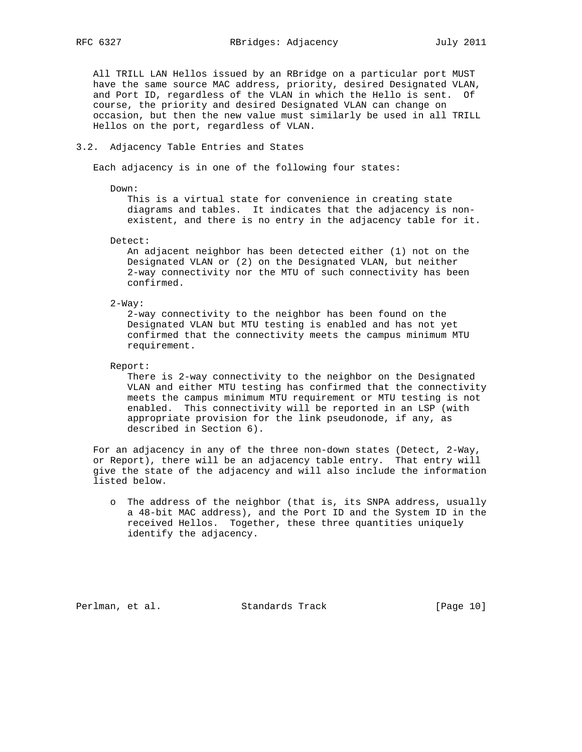All TRILL LAN Hellos issued by an RBridge on a particular port MUST have the same source MAC address, priority, desired Designated VLAN, and Port ID, regardless of the VLAN in which the Hello is sent. Of course, the priority and desired Designated VLAN can change on occasion, but then the new value must similarly be used in all TRILL Hellos on the port, regardless of VLAN.

#### 3.2. Adjacency Table Entries and States

Each adjacency is in one of the following four states:

Down:

 This is a virtual state for convenience in creating state diagrams and tables. It indicates that the adjacency is non existent, and there is no entry in the adjacency table for it.

Detect:

 An adjacent neighbor has been detected either (1) not on the Designated VLAN or (2) on the Designated VLAN, but neither 2-way connectivity nor the MTU of such connectivity has been confirmed.

2-Way:

 2-way connectivity to the neighbor has been found on the Designated VLAN but MTU testing is enabled and has not yet confirmed that the connectivity meets the campus minimum MTU requirement.

Report:

 There is 2-way connectivity to the neighbor on the Designated VLAN and either MTU testing has confirmed that the connectivity meets the campus minimum MTU requirement or MTU testing is not enabled. This connectivity will be reported in an LSP (with appropriate provision for the link pseudonode, if any, as described in Section 6).

 For an adjacency in any of the three non-down states (Detect, 2-Way, or Report), there will be an adjacency table entry. That entry will give the state of the adjacency and will also include the information listed below.

 o The address of the neighbor (that is, its SNPA address, usually a 48-bit MAC address), and the Port ID and the System ID in the received Hellos. Together, these three quantities uniquely identify the adjacency.

Perlman, et al. Standards Track [Page 10]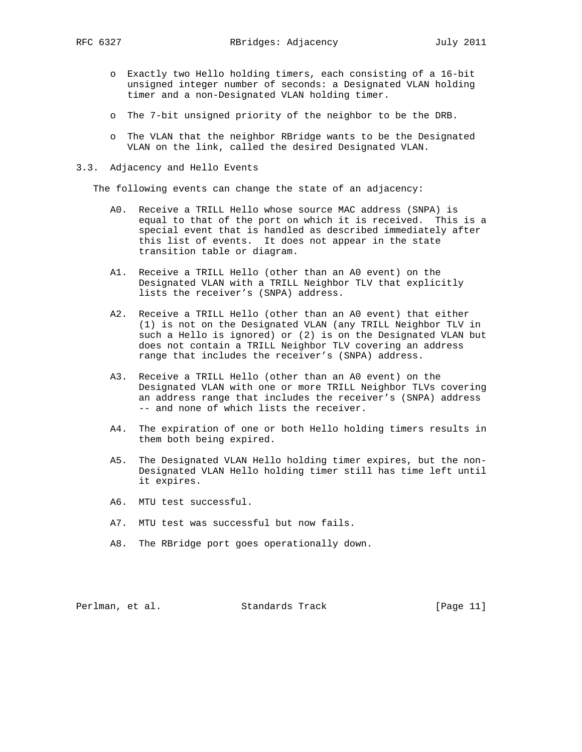- o Exactly two Hello holding timers, each consisting of a 16-bit unsigned integer number of seconds: a Designated VLAN holding timer and a non-Designated VLAN holding timer.
- o The 7-bit unsigned priority of the neighbor to be the DRB.
- o The VLAN that the neighbor RBridge wants to be the Designated VLAN on the link, called the desired Designated VLAN.

### 3.3. Adjacency and Hello Events

The following events can change the state of an adjacency:

- A0. Receive a TRILL Hello whose source MAC address (SNPA) is equal to that of the port on which it is received. This is a special event that is handled as described immediately after this list of events. It does not appear in the state transition table or diagram.
- A1. Receive a TRILL Hello (other than an A0 event) on the Designated VLAN with a TRILL Neighbor TLV that explicitly lists the receiver's (SNPA) address.
- A2. Receive a TRILL Hello (other than an A0 event) that either (1) is not on the Designated VLAN (any TRILL Neighbor TLV in such a Hello is ignored) or (2) is on the Designated VLAN but does not contain a TRILL Neighbor TLV covering an address range that includes the receiver's (SNPA) address.
- A3. Receive a TRILL Hello (other than an A0 event) on the Designated VLAN with one or more TRILL Neighbor TLVs covering an address range that includes the receiver's (SNPA) address -- and none of which lists the receiver.
- A4. The expiration of one or both Hello holding timers results in them both being expired.
- A5. The Designated VLAN Hello holding timer expires, but the non- Designated VLAN Hello holding timer still has time left until it expires.
- A6. MTU test successful.
- A7. MTU test was successful but now fails.
- A8. The RBridge port goes operationally down.

Perlman, et al. Standards Track [Page 11]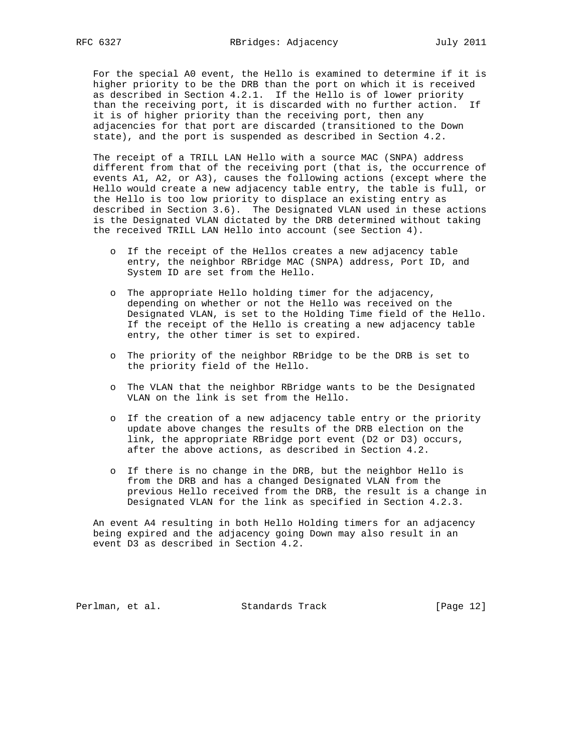For the special A0 event, the Hello is examined to determine if it is higher priority to be the DRB than the port on which it is received as described in Section 4.2.1. If the Hello is of lower priority than the receiving port, it is discarded with no further action. If it is of higher priority than the receiving port, then any adjacencies for that port are discarded (transitioned to the Down state), and the port is suspended as described in Section 4.2.

 The receipt of a TRILL LAN Hello with a source MAC (SNPA) address different from that of the receiving port (that is, the occurrence of events A1, A2, or A3), causes the following actions (except where the Hello would create a new adjacency table entry, the table is full, or the Hello is too low priority to displace an existing entry as described in Section 3.6). The Designated VLAN used in these actions is the Designated VLAN dictated by the DRB determined without taking the received TRILL LAN Hello into account (see Section 4).

- o If the receipt of the Hellos creates a new adjacency table entry, the neighbor RBridge MAC (SNPA) address, Port ID, and System ID are set from the Hello.
- o The appropriate Hello holding timer for the adjacency, depending on whether or not the Hello was received on the Designated VLAN, is set to the Holding Time field of the Hello. If the receipt of the Hello is creating a new adjacency table entry, the other timer is set to expired.
- o The priority of the neighbor RBridge to be the DRB is set to the priority field of the Hello.
- o The VLAN that the neighbor RBridge wants to be the Designated VLAN on the link is set from the Hello.
- o If the creation of a new adjacency table entry or the priority update above changes the results of the DRB election on the link, the appropriate RBridge port event (D2 or D3) occurs, after the above actions, as described in Section 4.2.
- o If there is no change in the DRB, but the neighbor Hello is from the DRB and has a changed Designated VLAN from the previous Hello received from the DRB, the result is a change in Designated VLAN for the link as specified in Section 4.2.3.

 An event A4 resulting in both Hello Holding timers for an adjacency being expired and the adjacency going Down may also result in an event D3 as described in Section 4.2.

Perlman, et al. Standards Track [Page 12]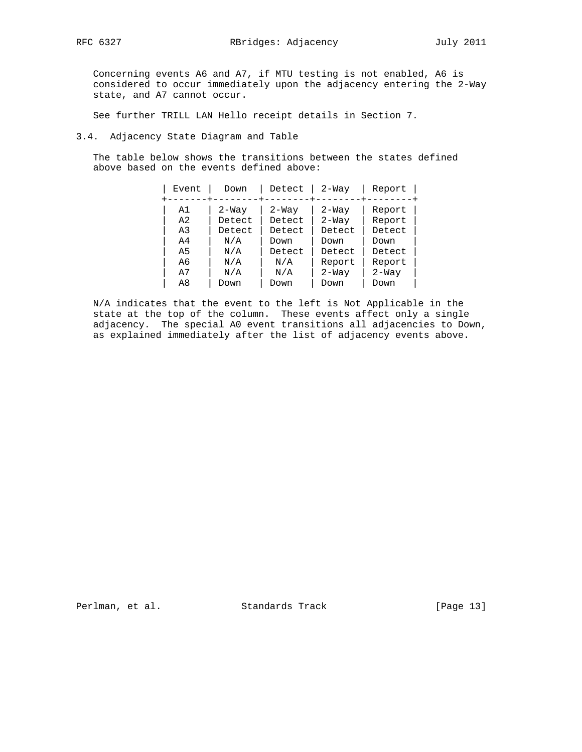Concerning events A6 and A7, if MTU testing is not enabled, A6 is considered to occur immediately upon the adjacency entering the 2-Way state, and A7 cannot occur.

See further TRILL LAN Hello receipt details in Section 7.

# 3.4. Adjacency State Diagram and Table

 The table below shows the transitions between the states defined above based on the events defined above:

| Event          | Down    | Detect  | $2-Way$ | Report  |
|----------------|---------|---------|---------|---------|
| A1             | $2-Way$ | $2-Way$ | $2-Way$ | Report  |
| A2             | Detect  | Detect  | $2-Way$ | Report  |
| A <sub>3</sub> | Detect  | Detect  | Detect  | Detect  |
| A4             | N/A     | Down    | Down    | Down    |
| A5             | N/A     | Detect  | Detect  | Detect  |
| A6             | N/A     | N/A     | Report  | Report  |
| A7             | N/A     | N/A     | $2-Way$ | $2-Way$ |
| A8             | Down    | Down    | Down    | Down    |

 N/A indicates that the event to the left is Not Applicable in the state at the top of the column. These events affect only a single adjacency. The special A0 event transitions all adjacencies to Down, as explained immediately after the list of adjacency events above.

Perlman, et al. Standards Track [Page 13]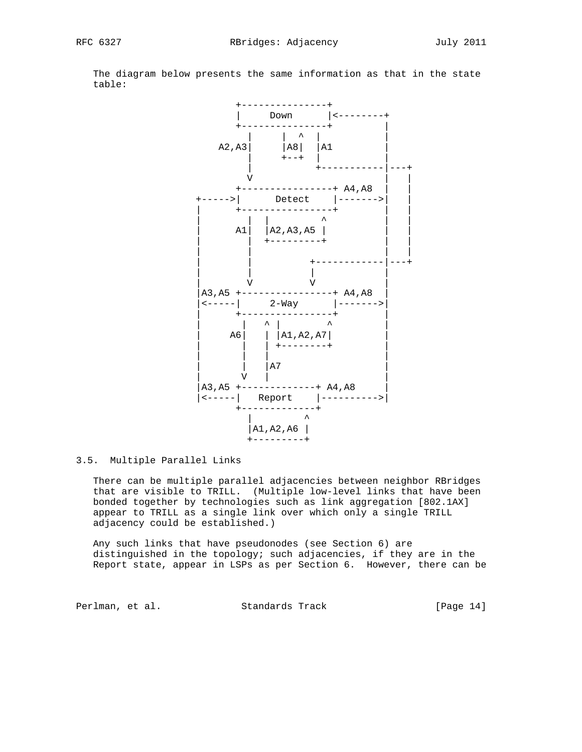

 The diagram below presents the same information as that in the state table:

# 3.5. Multiple Parallel Links

 There can be multiple parallel adjacencies between neighbor RBridges that are visible to TRILL. (Multiple low-level links that have been bonded together by technologies such as link aggregation [802.1AX] appear to TRILL as a single link over which only a single TRILL adjacency could be established.)

 Any such links that have pseudonodes (see Section 6) are distinguished in the topology; such adjacencies, if they are in the Report state, appear in LSPs as per Section 6. However, there can be

Perlman, et al. Standards Track [Page 14]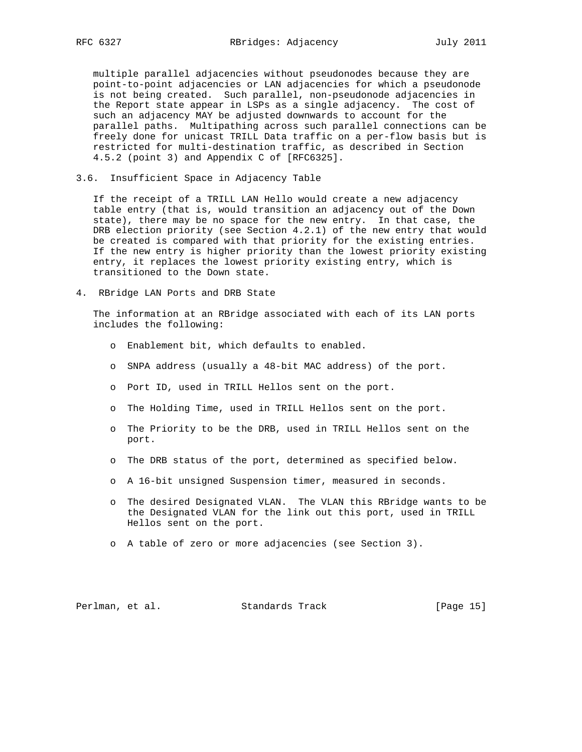multiple parallel adjacencies without pseudonodes because they are point-to-point adjacencies or LAN adjacencies for which a pseudonode is not being created. Such parallel, non-pseudonode adjacencies in the Report state appear in LSPs as a single adjacency. The cost of such an adjacency MAY be adjusted downwards to account for the parallel paths. Multipathing across such parallel connections can be freely done for unicast TRILL Data traffic on a per-flow basis but is restricted for multi-destination traffic, as described in Section 4.5.2 (point 3) and Appendix C of [RFC6325].

3.6. Insufficient Space in Adjacency Table

 If the receipt of a TRILL LAN Hello would create a new adjacency table entry (that is, would transition an adjacency out of the Down state), there may be no space for the new entry. In that case, the DRB election priority (see Section 4.2.1) of the new entry that would be created is compared with that priority for the existing entries. If the new entry is higher priority than the lowest priority existing entry, it replaces the lowest priority existing entry, which is transitioned to the Down state.

4. RBridge LAN Ports and DRB State

 The information at an RBridge associated with each of its LAN ports includes the following:

- o Enablement bit, which defaults to enabled.
- o SNPA address (usually a 48-bit MAC address) of the port.
- o Port ID, used in TRILL Hellos sent on the port.
- o The Holding Time, used in TRILL Hellos sent on the port.
- o The Priority to be the DRB, used in TRILL Hellos sent on the port.
- o The DRB status of the port, determined as specified below.
- o A 16-bit unsigned Suspension timer, measured in seconds.
- o The desired Designated VLAN. The VLAN this RBridge wants to be the Designated VLAN for the link out this port, used in TRILL Hellos sent on the port.
- o A table of zero or more adjacencies (see Section 3).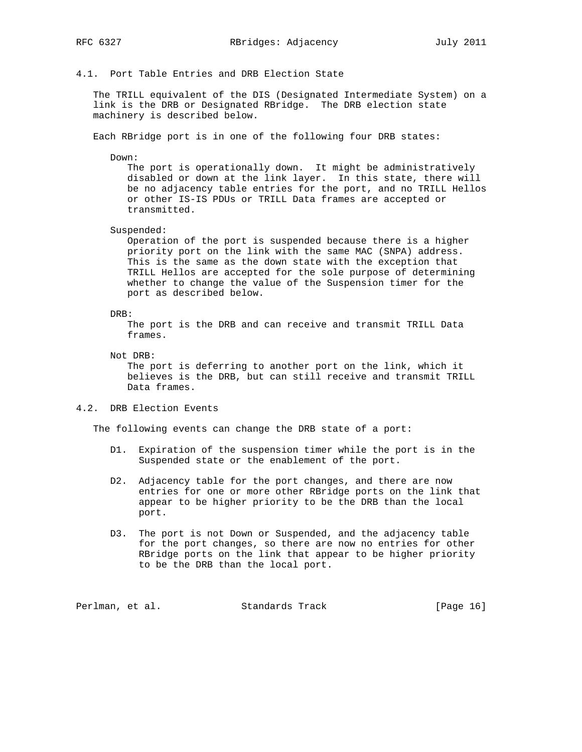4.1. Port Table Entries and DRB Election State

 The TRILL equivalent of the DIS (Designated Intermediate System) on a link is the DRB or Designated RBridge. The DRB election state machinery is described below.

Each RBridge port is in one of the following four DRB states:

Down:

 The port is operationally down. It might be administratively disabled or down at the link layer. In this state, there will be no adjacency table entries for the port, and no TRILL Hellos or other IS-IS PDUs or TRILL Data frames are accepted or transmitted.

Suspended:

 Operation of the port is suspended because there is a higher priority port on the link with the same MAC (SNPA) address. This is the same as the down state with the exception that TRILL Hellos are accepted for the sole purpose of determining whether to change the value of the Suspension timer for the port as described below.

#### DRB:

 The port is the DRB and can receive and transmit TRILL Data frames.

Not DRB:

 The port is deferring to another port on the link, which it believes is the DRB, but can still receive and transmit TRILL Data frames.

## 4.2. DRB Election Events

The following events can change the DRB state of a port:

- D1. Expiration of the suspension timer while the port is in the Suspended state or the enablement of the port.
- D2. Adjacency table for the port changes, and there are now entries for one or more other RBridge ports on the link that appear to be higher priority to be the DRB than the local port.
- D3. The port is not Down or Suspended, and the adjacency table for the port changes, so there are now no entries for other RBridge ports on the link that appear to be higher priority to be the DRB than the local port.

Perlman, et al. Standards Track [Page 16]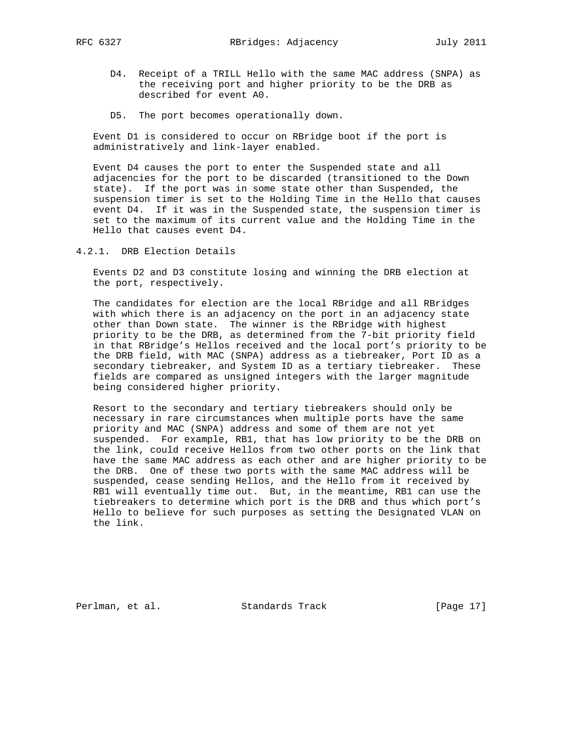- - D4. Receipt of a TRILL Hello with the same MAC address (SNPA) as the receiving port and higher priority to be the DRB as described for event A0.
	- D5. The port becomes operationally down.

 Event D1 is considered to occur on RBridge boot if the port is administratively and link-layer enabled.

 Event D4 causes the port to enter the Suspended state and all adjacencies for the port to be discarded (transitioned to the Down state). If the port was in some state other than Suspended, the suspension timer is set to the Holding Time in the Hello that causes event D4. If it was in the Suspended state, the suspension timer is set to the maximum of its current value and the Holding Time in the Hello that causes event D4.

4.2.1. DRB Election Details

 Events D2 and D3 constitute losing and winning the DRB election at the port, respectively.

 The candidates for election are the local RBridge and all RBridges with which there is an adjacency on the port in an adjacency state other than Down state. The winner is the RBridge with highest priority to be the DRB, as determined from the 7-bit priority field in that RBridge's Hellos received and the local port's priority to be the DRB field, with MAC (SNPA) address as a tiebreaker, Port ID as a secondary tiebreaker, and System ID as a tertiary tiebreaker. These fields are compared as unsigned integers with the larger magnitude being considered higher priority.

 Resort to the secondary and tertiary tiebreakers should only be necessary in rare circumstances when multiple ports have the same priority and MAC (SNPA) address and some of them are not yet suspended. For example, RB1, that has low priority to be the DRB on the link, could receive Hellos from two other ports on the link that have the same MAC address as each other and are higher priority to be the DRB. One of these two ports with the same MAC address will be suspended, cease sending Hellos, and the Hello from it received by RB1 will eventually time out. But, in the meantime, RB1 can use the tiebreakers to determine which port is the DRB and thus which port's Hello to believe for such purposes as setting the Designated VLAN on the link.

Perlman, et al. Standards Track [Page 17]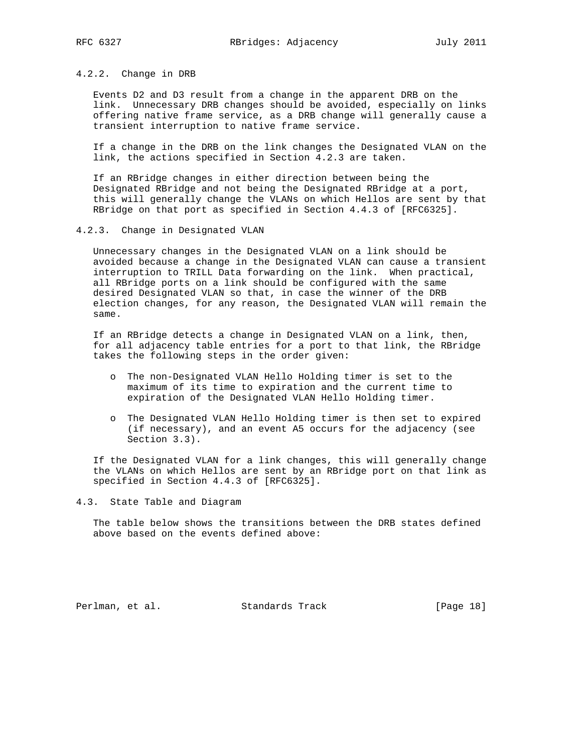## 4.2.2. Change in DRB

 Events D2 and D3 result from a change in the apparent DRB on the link. Unnecessary DRB changes should be avoided, especially on links offering native frame service, as a DRB change will generally cause a transient interruption to native frame service.

 If a change in the DRB on the link changes the Designated VLAN on the link, the actions specified in Section 4.2.3 are taken.

 If an RBridge changes in either direction between being the Designated RBridge and not being the Designated RBridge at a port, this will generally change the VLANs on which Hellos are sent by that RBridge on that port as specified in Section 4.4.3 of [RFC6325].

4.2.3. Change in Designated VLAN

 Unnecessary changes in the Designated VLAN on a link should be avoided because a change in the Designated VLAN can cause a transient interruption to TRILL Data forwarding on the link. When practical, all RBridge ports on a link should be configured with the same desired Designated VLAN so that, in case the winner of the DRB election changes, for any reason, the Designated VLAN will remain the same.

 If an RBridge detects a change in Designated VLAN on a link, then, for all adjacency table entries for a port to that link, the RBridge takes the following steps in the order given:

- o The non-Designated VLAN Hello Holding timer is set to the maximum of its time to expiration and the current time to expiration of the Designated VLAN Hello Holding timer.
- o The Designated VLAN Hello Holding timer is then set to expired (if necessary), and an event A5 occurs for the adjacency (see Section 3.3).

 If the Designated VLAN for a link changes, this will generally change the VLANs on which Hellos are sent by an RBridge port on that link as specified in Section 4.4.3 of [RFC6325].

4.3. State Table and Diagram

 The table below shows the transitions between the DRB states defined above based on the events defined above:

Perlman, et al. Standards Track [Page 18]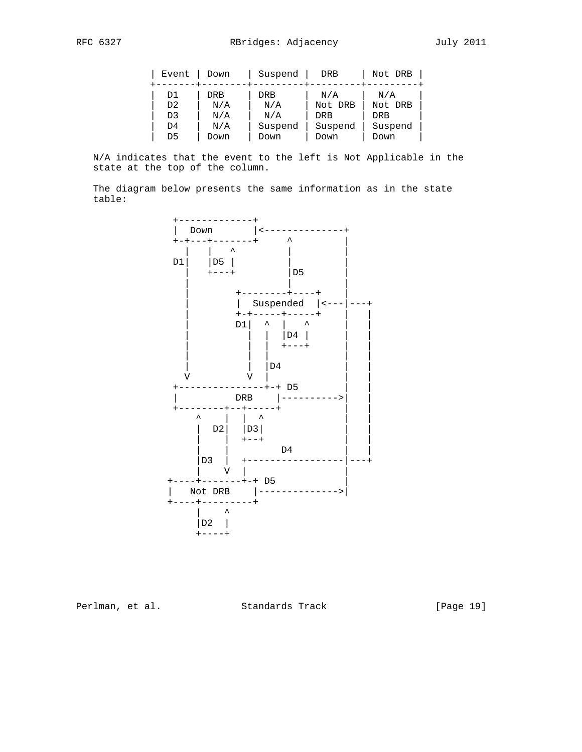| Event          | Down | Suspend    | <b>DRB</b> | Not DRB |
|----------------|------|------------|------------|---------|
| D1             | DRB  | <b>DRB</b> | N/A        | N/A     |
| D <sub>2</sub> | N/A  | N/A        | Not DRB    | Not DRB |
| D3             | N/A  | N/A        | <b>DRB</b> | DRB     |
| D4             | N/A  | Suspend    | Suspend    | Suspend |
| D5             | Down | Down       | Down       | Down    |

 N/A indicates that the event to the left is Not Applicable in the state at the top of the column.

 The diagram below presents the same information as in the state table:



Perlman, et al. Standards Track [Page 19]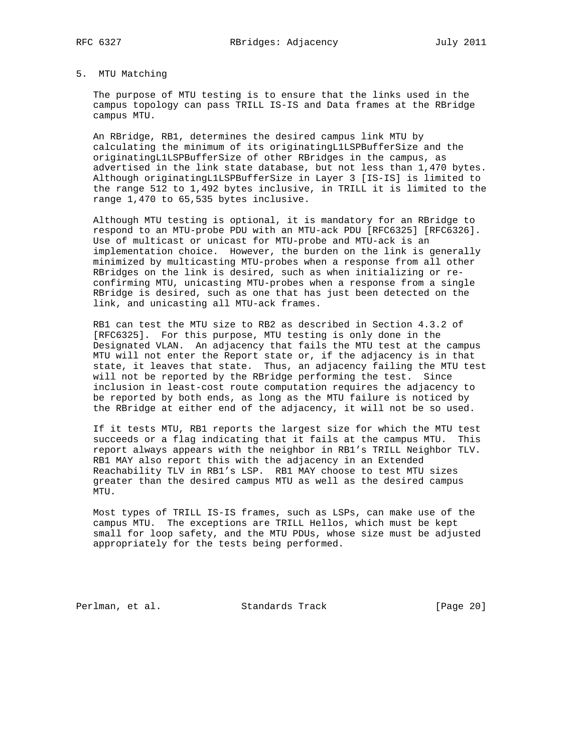# 5. MTU Matching

 The purpose of MTU testing is to ensure that the links used in the campus topology can pass TRILL IS-IS and Data frames at the RBridge campus MTU.

 An RBridge, RB1, determines the desired campus link MTU by calculating the minimum of its originatingL1LSPBufferSize and the originatingL1LSPBufferSize of other RBridges in the campus, as advertised in the link state database, but not less than 1,470 bytes. Although originatingL1LSPBufferSize in Layer 3 [IS-IS] is limited to the range 512 to 1,492 bytes inclusive, in TRILL it is limited to the range 1,470 to 65,535 bytes inclusive.

 Although MTU testing is optional, it is mandatory for an RBridge to respond to an MTU-probe PDU with an MTU-ack PDU [RFC6325] [RFC6326]. Use of multicast or unicast for MTU-probe and MTU-ack is an implementation choice. However, the burden on the link is generally minimized by multicasting MTU-probes when a response from all other RBridges on the link is desired, such as when initializing or re confirming MTU, unicasting MTU-probes when a response from a single RBridge is desired, such as one that has just been detected on the link, and unicasting all MTU-ack frames.

 RB1 can test the MTU size to RB2 as described in Section 4.3.2 of [RFC6325]. For this purpose, MTU testing is only done in the Designated VLAN. An adjacency that fails the MTU test at the campus MTU will not enter the Report state or, if the adjacency is in that state, it leaves that state. Thus, an adjacency failing the MTU test will not be reported by the RBridge performing the test. Since inclusion in least-cost route computation requires the adjacency to be reported by both ends, as long as the MTU failure is noticed by the RBridge at either end of the adjacency, it will not be so used.

 If it tests MTU, RB1 reports the largest size for which the MTU test succeeds or a flag indicating that it fails at the campus MTU. This report always appears with the neighbor in RB1's TRILL Neighbor TLV. RB1 MAY also report this with the adjacency in an Extended Reachability TLV in RB1's LSP. RB1 MAY choose to test MTU sizes greater than the desired campus MTU as well as the desired campus MTU.

 Most types of TRILL IS-IS frames, such as LSPs, can make use of the campus MTU. The exceptions are TRILL Hellos, which must be kept small for loop safety, and the MTU PDUs, whose size must be adjusted appropriately for the tests being performed.

Perlman, et al. Standards Track [Page 20]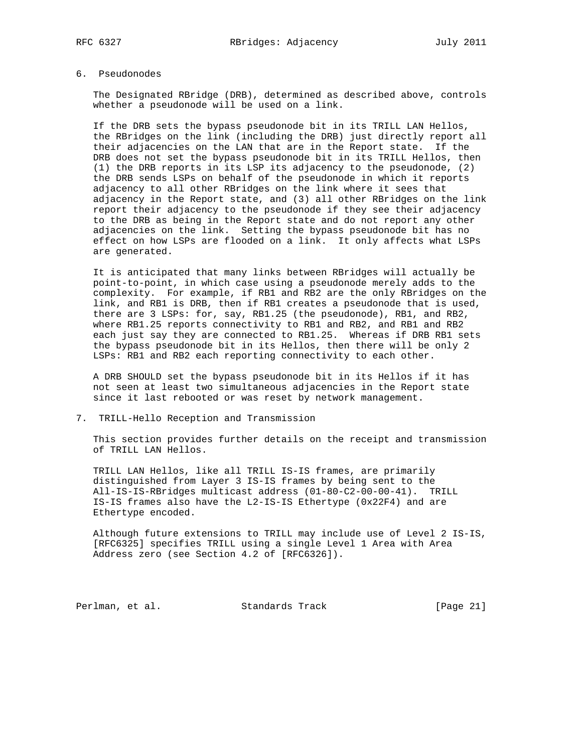# 6. Pseudonodes

 The Designated RBridge (DRB), determined as described above, controls whether a pseudonode will be used on a link.

 If the DRB sets the bypass pseudonode bit in its TRILL LAN Hellos, the RBridges on the link (including the DRB) just directly report all their adjacencies on the LAN that are in the Report state. If the DRB does not set the bypass pseudonode bit in its TRILL Hellos, then (1) the DRB reports in its LSP its adjacency to the pseudonode, (2) the DRB sends LSPs on behalf of the pseudonode in which it reports adjacency to all other RBridges on the link where it sees that adjacency in the Report state, and (3) all other RBridges on the link report their adjacency to the pseudonode if they see their adjacency to the DRB as being in the Report state and do not report any other adjacencies on the link. Setting the bypass pseudonode bit has no effect on how LSPs are flooded on a link. It only affects what LSPs are generated.

 It is anticipated that many links between RBridges will actually be point-to-point, in which case using a pseudonode merely adds to the complexity. For example, if RB1 and RB2 are the only RBridges on the link, and RB1 is DRB, then if RB1 creates a pseudonode that is used, there are 3 LSPs: for, say, RB1.25 (the pseudonode), RB1, and RB2, where RB1.25 reports connectivity to RB1 and RB2, and RB1 and RB2 each just say they are connected to RB1.25. Whereas if DRB RB1 sets the bypass pseudonode bit in its Hellos, then there will be only 2 LSPs: RB1 and RB2 each reporting connectivity to each other.

 A DRB SHOULD set the bypass pseudonode bit in its Hellos if it has not seen at least two simultaneous adjacencies in the Report state since it last rebooted or was reset by network management.

7. TRILL-Hello Reception and Transmission

 This section provides further details on the receipt and transmission of TRILL LAN Hellos.

 TRILL LAN Hellos, like all TRILL IS-IS frames, are primarily distinguished from Layer 3 IS-IS frames by being sent to the All-IS-IS-RBridges multicast address (01-80-C2-00-00-41). TRILL IS-IS frames also have the L2-IS-IS Ethertype (0x22F4) and are Ethertype encoded.

 Although future extensions to TRILL may include use of Level 2 IS-IS, [RFC6325] specifies TRILL using a single Level 1 Area with Area Address zero (see Section 4.2 of [RFC6326]).

Perlman, et al. Standards Track [Page 21]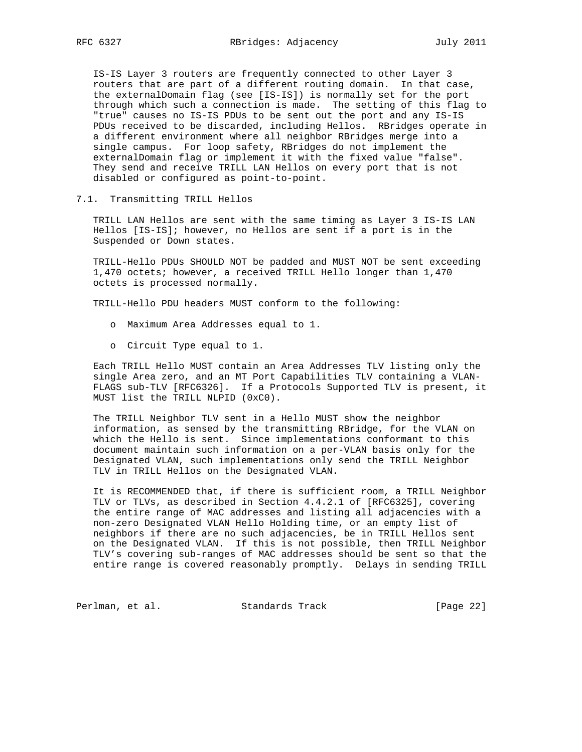IS-IS Layer 3 routers are frequently connected to other Layer 3 routers that are part of a different routing domain. In that case, the externalDomain flag (see [IS-IS]) is normally set for the port through which such a connection is made. The setting of this flag to "true" causes no IS-IS PDUs to be sent out the port and any IS-IS PDUs received to be discarded, including Hellos. RBridges operate in a different environment where all neighbor RBridges merge into a single campus. For loop safety, RBridges do not implement the externalDomain flag or implement it with the fixed value "false". They send and receive TRILL LAN Hellos on every port that is not disabled or configured as point-to-point.

7.1. Transmitting TRILL Hellos

 TRILL LAN Hellos are sent with the same timing as Layer 3 IS-IS LAN Hellos [IS-IS]; however, no Hellos are sent if a port is in the Suspended or Down states.

 TRILL-Hello PDUs SHOULD NOT be padded and MUST NOT be sent exceeding 1,470 octets; however, a received TRILL Hello longer than 1,470 octets is processed normally.

TRILL-Hello PDU headers MUST conform to the following:

- o Maximum Area Addresses equal to 1.
- o Circuit Type equal to 1.

 Each TRILL Hello MUST contain an Area Addresses TLV listing only the single Area zero, and an MT Port Capabilities TLV containing a VLAN- FLAGS sub-TLV [RFC6326]. If a Protocols Supported TLV is present, it MUST list the TRILL NLPID (0xC0).

 The TRILL Neighbor TLV sent in a Hello MUST show the neighbor information, as sensed by the transmitting RBridge, for the VLAN on which the Hello is sent. Since implementations conformant to this document maintain such information on a per-VLAN basis only for the Designated VLAN, such implementations only send the TRILL Neighbor TLV in TRILL Hellos on the Designated VLAN.

 It is RECOMMENDED that, if there is sufficient room, a TRILL Neighbor TLV or TLVs, as described in Section 4.4.2.1 of [RFC6325], covering the entire range of MAC addresses and listing all adjacencies with a non-zero Designated VLAN Hello Holding time, or an empty list of neighbors if there are no such adjacencies, be in TRILL Hellos sent on the Designated VLAN. If this is not possible, then TRILL Neighbor TLV's covering sub-ranges of MAC addresses should be sent so that the entire range is covered reasonably promptly. Delays in sending TRILL

Perlman, et al. Standards Track [Page 22]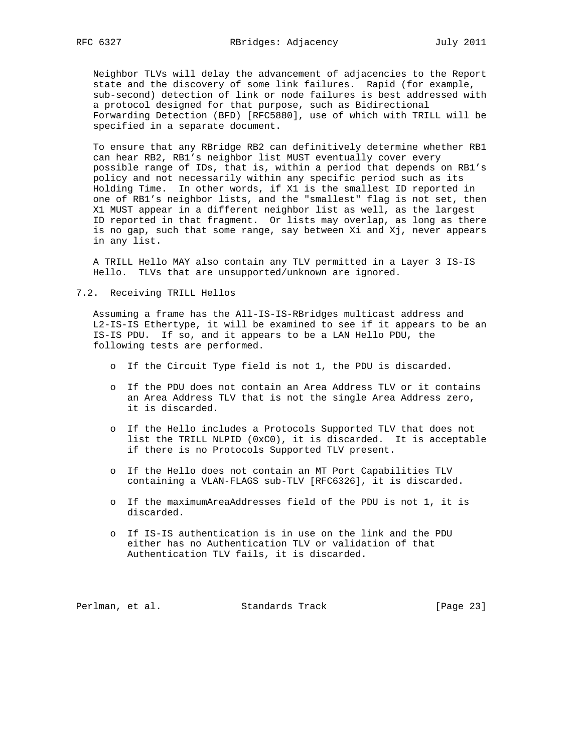Neighbor TLVs will delay the advancement of adjacencies to the Report state and the discovery of some link failures. Rapid (for example, sub-second) detection of link or node failures is best addressed with a protocol designed for that purpose, such as Bidirectional Forwarding Detection (BFD) [RFC5880], use of which with TRILL will be specified in a separate document.

 To ensure that any RBridge RB2 can definitively determine whether RB1 can hear RB2, RB1's neighbor list MUST eventually cover every possible range of IDs, that is, within a period that depends on RB1's policy and not necessarily within any specific period such as its Holding Time. In other words, if X1 is the smallest ID reported in one of RB1's neighbor lists, and the "smallest" flag is not set, then X1 MUST appear in a different neighbor list as well, as the largest ID reported in that fragment. Or lists may overlap, as long as there is no gap, such that some range, say between Xi and Xj, never appears in any list.

 A TRILL Hello MAY also contain any TLV permitted in a Layer 3 IS-IS Hello. TLVs that are unsupported/unknown are ignored.

7.2. Receiving TRILL Hellos

 Assuming a frame has the All-IS-IS-RBridges multicast address and L2-IS-IS Ethertype, it will be examined to see if it appears to be an IS-IS PDU. If so, and it appears to be a LAN Hello PDU, the following tests are performed.

- o If the Circuit Type field is not 1, the PDU is discarded.
- o If the PDU does not contain an Area Address TLV or it contains an Area Address TLV that is not the single Area Address zero, it is discarded.
- o If the Hello includes a Protocols Supported TLV that does not list the TRILL NLPID (0xC0), it is discarded. It is acceptable if there is no Protocols Supported TLV present.
- o If the Hello does not contain an MT Port Capabilities TLV containing a VLAN-FLAGS sub-TLV [RFC6326], it is discarded.
- o If the maximumAreaAddresses field of the PDU is not 1, it is discarded.
- o If IS-IS authentication is in use on the link and the PDU either has no Authentication TLV or validation of that Authentication TLV fails, it is discarded.

Perlman, et al. Standards Track [Page 23]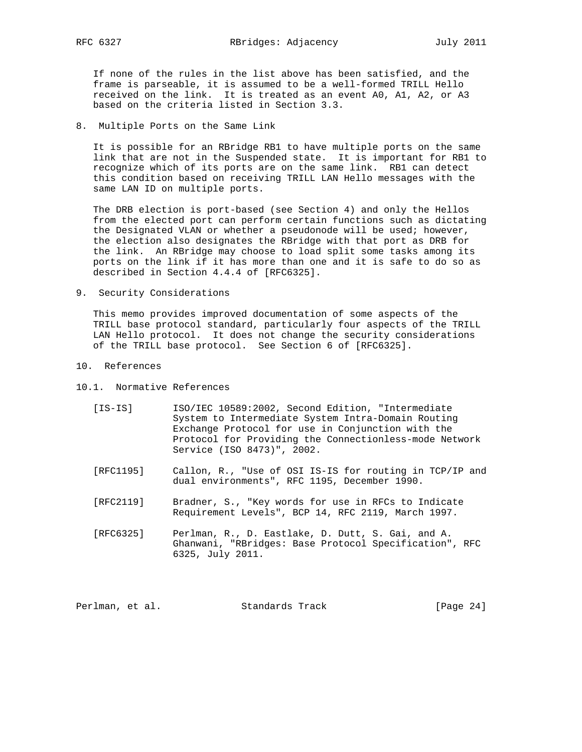If none of the rules in the list above has been satisfied, and the frame is parseable, it is assumed to be a well-formed TRILL Hello received on the link. It is treated as an event A0, A1, A2, or A3 based on the criteria listed in Section 3.3.

8. Multiple Ports on the Same Link

 It is possible for an RBridge RB1 to have multiple ports on the same link that are not in the Suspended state. It is important for RB1 to recognize which of its ports are on the same link. RB1 can detect this condition based on receiving TRILL LAN Hello messages with the same LAN ID on multiple ports.

 The DRB election is port-based (see Section 4) and only the Hellos from the elected port can perform certain functions such as dictating the Designated VLAN or whether a pseudonode will be used; however, the election also designates the RBridge with that port as DRB for the link. An RBridge may choose to load split some tasks among its ports on the link if it has more than one and it is safe to do so as described in Section 4.4.4 of [RFC6325].

9. Security Considerations

 This memo provides improved documentation of some aspects of the TRILL base protocol standard, particularly four aspects of the TRILL LAN Hello protocol. It does not change the security considerations of the TRILL base protocol. See Section 6 of [RFC6325].

- 10. References
- 10.1. Normative References
	- [IS-IS] ISO/IEC 10589:2002, Second Edition, "Intermediate System to Intermediate System Intra-Domain Routing Exchange Protocol for use in Conjunction with the Protocol for Providing the Connectionless-mode Network Service (ISO 8473)", 2002.
	- [RFC1195] Callon, R., "Use of OSI IS-IS for routing in TCP/IP and dual environments", RFC 1195, December 1990.
	- [RFC2119] Bradner, S., "Key words for use in RFCs to Indicate Requirement Levels", BCP 14, RFC 2119, March 1997.
	- [RFC6325] Perlman, R., D. Eastlake, D. Dutt, S. Gai, and A. Ghanwani, "RBridges: Base Protocol Specification", RFC 6325, July 2011.

| Perlman, et al.<br>Standards Track | [Page $24$ ] |  |
|------------------------------------|--------------|--|
|------------------------------------|--------------|--|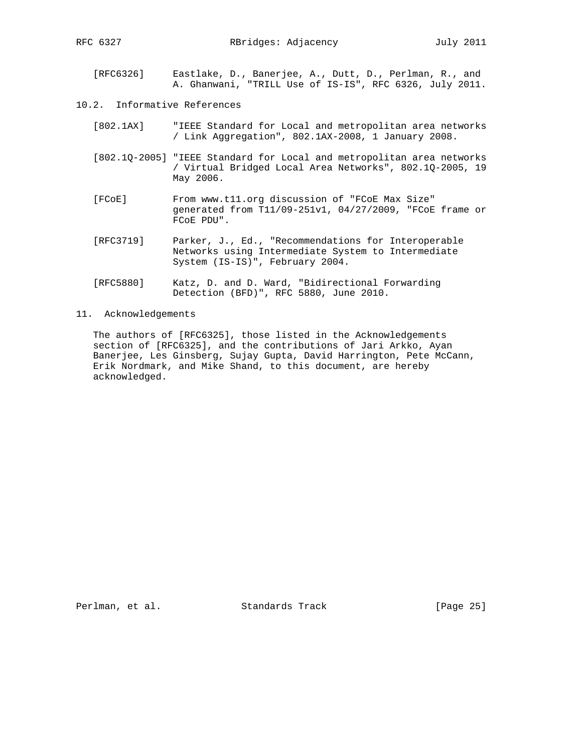- [RFC6326] Eastlake, D., Banerjee, A., Dutt, D., Perlman, R., and A. Ghanwani, "TRILL Use of IS-IS", RFC 6326, July 2011.
- 10.2. Informative References
	- [802.1AX] "IEEE Standard for Local and metropolitan area networks / Link Aggregation", 802.1AX-2008, 1 January 2008.
	- [802.1Q-2005] "IEEE Standard for Local and metropolitan area networks / Virtual Bridged Local Area Networks", 802.1Q-2005, 19 May 2006.
	- [FCoE] From www.t11.org discussion of "FCoE Max Size" generated from T11/09-251v1, 04/27/2009, "FCoE frame or FCoE PDU".
	- [RFC3719] Parker, J., Ed., "Recommendations for Interoperable Networks using Intermediate System to Intermediate System (IS-IS)", February 2004.
	- [RFC5880] Katz, D. and D. Ward, "Bidirectional Forwarding Detection (BFD)", RFC 5880, June 2010.
- 11. Acknowledgements

 The authors of [RFC6325], those listed in the Acknowledgements section of [RFC6325], and the contributions of Jari Arkko, Ayan Banerjee, Les Ginsberg, Sujay Gupta, David Harrington, Pete McCann, Erik Nordmark, and Mike Shand, to this document, are hereby acknowledged.

Perlman, et al. Standards Track [Page 25]